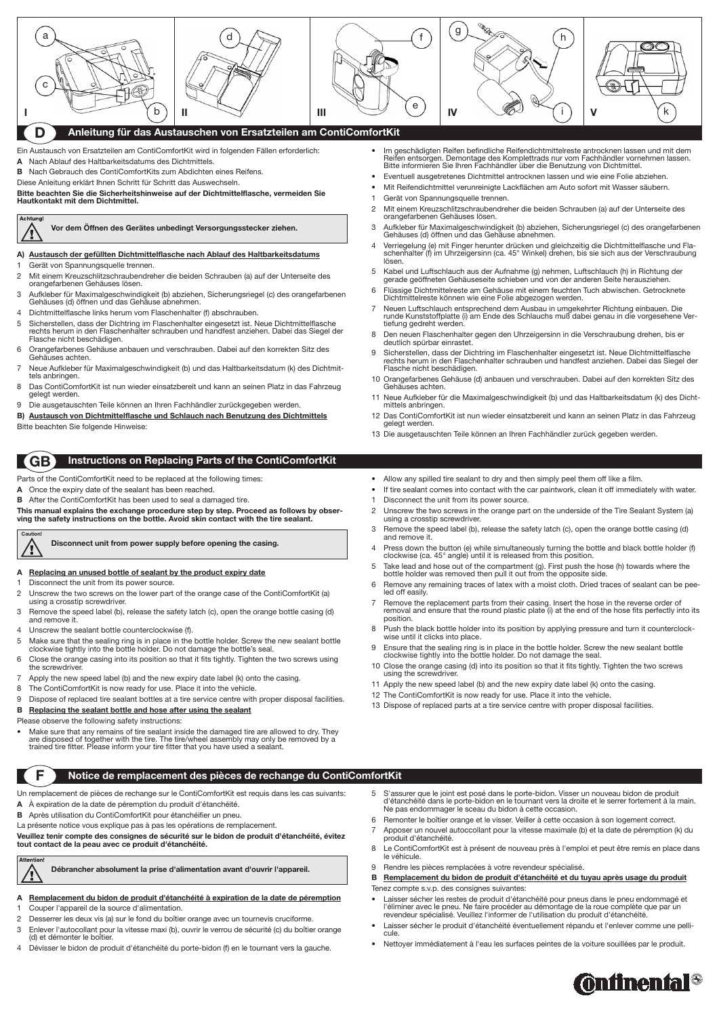## **Anleitung für das Austauschen von Ersatzteilen am ContiComfortKit**

Ein Austausch von Ersatzteilen am ContiComfortKit wird in folgenden Fällen erforderlich: **A** Nach Ablauf des Haltbarkeitsdatums des Dichtmittels.

**B** Nach Gebrauch des ContiComfortKits zum Abdichten eines Reifens.

Diese Anleitung erklärt Ihnen Schritt für Schritt das Auswechseln.

**Bitte beachten Sie die Sicherheitshinweise auf der Dichtmittelflasche, vermeiden Sie Hautkontakt mit dem Dichtmittel.**

# Achtung

### **A) Austausch der gefüllten Dichtmittelflasche nach Ablauf des Haltbarkeitsdatums**

- Disconnect the unit from its power source.
- 2 Unscrew the two screws on the lower part of the orange case of the ContiComfortKit (a) using a crosstip screwdriver.
- 3 Remove the speed label (b), release the safety latch (c), open the orange bottle casing (d) and remove it.
- 4 Unscrew the sealant bottle counterclockwise (f).
- 5 Make sure that the sealing ring is in place in the bottle holder. Screw the new sealant bottle clockwise tightly into the bottle holder. Do not damage the bottle's seal.
- 6 Close the orange casing into its position so that it fits tightly. Tighten the two screws using the screwdriver.
- 7 Apply the new speed label (b) and the new expiry date label (k) onto the casing.
- 8 The ContiComfortKit is now ready for use. Place it into the vehicle.
- 9 Dispose of replaced tire sealant bottles at a tire service centre with proper disposal facilities.

Make sure that any remains of tire sealant inside the damaged tire are allowed to dry. They are disposed of together with the tire. The tire/wheel assembly may only be removed by a trained tire fitter. Please inform your tire fitter that you have used a sealant.

**Vor dem Öffnen des Gerätes unbedingt Versorgungsstecker ziehen.**

Parts of the ContiComfortKit need to be replaced at the following times:

- **A** Once the expiry date of the sealant has been reached.
- **B** After the ContiComfortKit has been used to seal a damaged tire.

**This manual explains the exchange procedure step by step. Proceed as follows by observing the safety instructions on the bottle. Avoid skin contact with the tire sealant.**

#### **A Replacing an unused bottle of sealant by the product expiry date**

- Im geschädigten Reifen befindliche Reifendichtmittelreste antrocknen lassen und mit dem Reifen entsorgen. Demontage des Komplettrads nur vom Fachhändler vornehmen lassen. Bitte informieren Sie Ihren Fachhändler über die Benutzung von Dichtmittel.
- Eventuell ausgetretenes Dichtmittel antrocknen lassen und wie eine Folie abziehen.
- Mit Reifendichtmittel verunreinigte Lackflächen am Auto sofort mit Wasser säubern.
- 1 Gerät von Spannungsquelle trennen.
- 2 Mit einem Kreuzschlitzschraubendreher die beiden Schrauben (a) auf der Unterseite des orangefarbenen Gehäuses lösen.
- 3 Aufkleber für Maximalgeschwindigkeit (b) abziehen, Sicherungsriegel (c) des orangefarbenen Gehäuses (d) öffnen und das Gehäuse abnehmen.
- 4 Verriegelung (e) mit Finger herunter drücken und gleichzeitig die Dichtmittelflasche und Flaschenhalter (f) im Uhrzeigersinn (ca. 45° Winkel) drehen, bis sie sich aus der Verschraubung lösen.
- 5 Kabel und Luftschlauch aus der Aufnahme (g) nehmen, Luftschlauch (h) in Richtung der gerade geöffneten Gehäuseseite schieben und von der anderen Seite herausziehen.
- 6 Flüssige Dichtmittelreste am Gehäuse mit einem feuchten Tuch abwischen. Getrocknete Dichtmittelreste können wie eine Folie abgezogen werden.
- 7 Neuen Luftschlauch entsprechend dem Ausbau in umgekehrter Richtung einbauen. Die runde Kunststoffplatte (i) am Ende des Schlauchs muß dabei genau in die vorgesehene Vertiefung gedreht werden.
- 8 Den neuen Flaschenhalter gegen den Uhrzeigersinn in die Verschraubung drehen, bis er deutlich spürbar einrastet.
- 9 Sicherstellen, dass der Dichtring im Flaschenhalter eingesetzt ist. Neue Dichtmittelflasche rechts herum in den Flaschenhalter schrauben und handfest anziehen. Dabei das Siegel der Flasche nicht beschädigen.
- 10 Orangefarbenes Gehäuse (d) anbauen und verschrauben. Dabei auf den korrekten Sitz des Gehäuses achten.
- 11 Neue Aufkleber für die Maximalgeschwindigkeit (b) und das Haltbarkeitsdatum (k) des Dichtmittels anbringen.
- 12 Das ContiComfortKit ist nun wieder einsatzbereit und kann an seinen Platz in das Fahrzeug gelegt werden.
- 13 Die ausgetauschten Teile können an Ihren Fachhändler zurück gegeben werden.
- Allow any spilled tire sealant to dry and then simply peel them off like a film.
- If tire sealant comes into contact with the car paintwork, clean it off immediately with water.
- 1 Disconnect the unit from its power source.
- 2 Unscrew the two screws in the orange part on the underside of the Tire Sealant System (a) using a crosstip screwdriver.
- 3 Remove the speed label (b), release the safety latch (c), open the orange bottle casing (d) and remove it.
- 4 Press down the button (e) while simultaneously turning the bottle and black bottle holder (f) clockwise (ca. 45° angle) until it is released from this position.
- 5 Take lead and hose out of the compartment (g). First push the hose (h) towards where the bottle holder was removed then pull it out from the opposite side.
- 6 Remove any remaining traces of latex with a moist cloth. Dried traces of sealant can be peeled off easily.
- 7 Remove the replacement parts from their casing. Insert the hose in the reverse order of removal and ensure that the round plastic plate (i) at the end of the hose fits perfectly into its position.
- 8 Push the black bottle holder into its position by applying pressure and turn it counterclockwise until it clicks into place.
- 9 Ensure that the sealing ring is in place in the bottle holder. Screw the new sealant bottle clockwise tightly into the bottle holder. Do not damage the seal.
- 10 Close the orange casing (d) into its position so that it fits tightly. Tighten the two screws using the screwdriver.
- 11 Apply the new speed label (b) and the new expiry date label (k) onto the casing.
- 12 The ContiComfortKit is now ready for use. Place it into the vehicle.
- 13 Dispose of replaced parts at a tire service centre with proper disposal facilities.

- Laisser sécher les restes de produit d'étanchéité pour pneus dans le pneu endommagé et l'éliminer avec le pneu. Ne faire procéder au démontage de la roue complète que par un revendeur spécialisé. Veuillez l'informer de l'utilisation du produit d'étanchéité.
- Laisser sécher le produit d'étanchéité éventuellement répandu et l'enlever comme une pellicule.
- Nettoyer immédiatement à l'eau les surfaces peintes de la voiture souillées par le produit.





- Gerät von Spannungsquelle trennen.
- 2 Mit einem Kreuzschlitzschraubendreher die beiden Schrauben (a) auf der Unterseite des orangefarbenen Gehäuses lösen.
- 3 Aufkleber für Maximalgeschwindigkeit (b) abziehen, Sicherungsriegel (c) des orangefarbenen Gehäuses (d) öffnen und das Gehäuse abnehmen.
- 4 Dichtmittelflasche links herum vom Flaschenhalter (f) abschrauben.
- 5 Sicherstellen, dass der Dichtring im Flaschenhalter eingesetzt ist. Neue Dichtmittelflasche rechts herum in den Flaschenhalter schrauben und handfest anziehen. Dabei das Siegel der Flasche nicht beschädigen.
- 6 Orangefarbenes Gehäuse anbauen und verschrauben. Dabei auf den korrekten Sitz des Gehäuses achten.
- 7 Neue Aufkleber für Maximalgeschwindigkeit (b) und das Haltbarkeitsdatum (k) des Dichtmittels anbringen.
- 8 Das ContiComfortKit ist nun wieder einsatzbereit und kann an seinen Platz in das Fahrzeug gelegt werden.
- 9 Die ausgetauschten Teile können an Ihren Fachhändler zurückgegeben werden.
- **B) Austausch von Dichtmittelflasche und Schlauch nach Benutzung des Dichtmittels** Bitte beachten Sie folgende Hinweise:
	- **Instructions on Replacing Parts of the ContiComfortKit GB**

#### **B Replacing the sealant bottle and hose after using the sealant**

Please observe the following safety instructions:

**Disconnect unit from power supply before opening the casing.**

## **Notice de remplacement des pièces de rechange du ContiComfortKit**

Un remplacement de pièces de rechange sur le ContiComfortKit est requis dans les cas suivants:

- **A** À expiration de la date de péremption du produit d'étanchéité.
- **B** Après utilisation du ContiComfortKit pour étanchéifier un pneu.

La présente notice vous explique pas à pas les opérations de remplacement.

**Veuillez tenir compte des consignes de sécurité sur le bidon de produit d'étanchéité, évitez tout contact de la peau avec ce produit d'étanchéité.**

**Attention** 

#### **A Remplacement du bidon de produit d'étanchéité à expiration de la date de péremption**

- 1 Couper l'appareil de la source d'alimentation.
- 2 Desserrer les deux vis (a) sur le fond du boîtier orange avec un tournevis cruciforme.
- 3 Enlever l'autocollant pour la vitesse maxi (b), ouvrir le verrou de sécurité (c) du boîtier orange (d) et démonter le boîtier.
- 4 Dévisser le bidon de produit d'étanchéité du porte-bidon (f) en le tournant vers la gauche.
- 5 S'assurer que le joint est posé dans le porte-bidon. Visser un nouveau bidon de produit d'étanchéité dans le porte-bidon en le tournant vers la droite et le serrer fortement à la main. Ne pas endommager le sceau du bidon à cette occasion.
- 6 Remonter le boîtier orange et le visser. Veiller à cette occasion à son logement correct.
- 7 Apposer un nouvel autoccollant pour la vitesse maximale (b) et la date de péremption (k) du produit d'étanchéité.
- 8 Le ContiComfortKit est à présent de nouveau près à l'emploi et peut être remis en place dans le véhicule.
- 9 Rendre les pièces remplacées à votre revendeur spécialisé.
- **B Remplacement du bidon de produit d'étanchéité et du tuyau après usage du produit**

Tenez compte s.v.p. des consignes suivantes:

**Débrancher absolument la prise d'alimentation avant d'ouvrir l'appareil.**